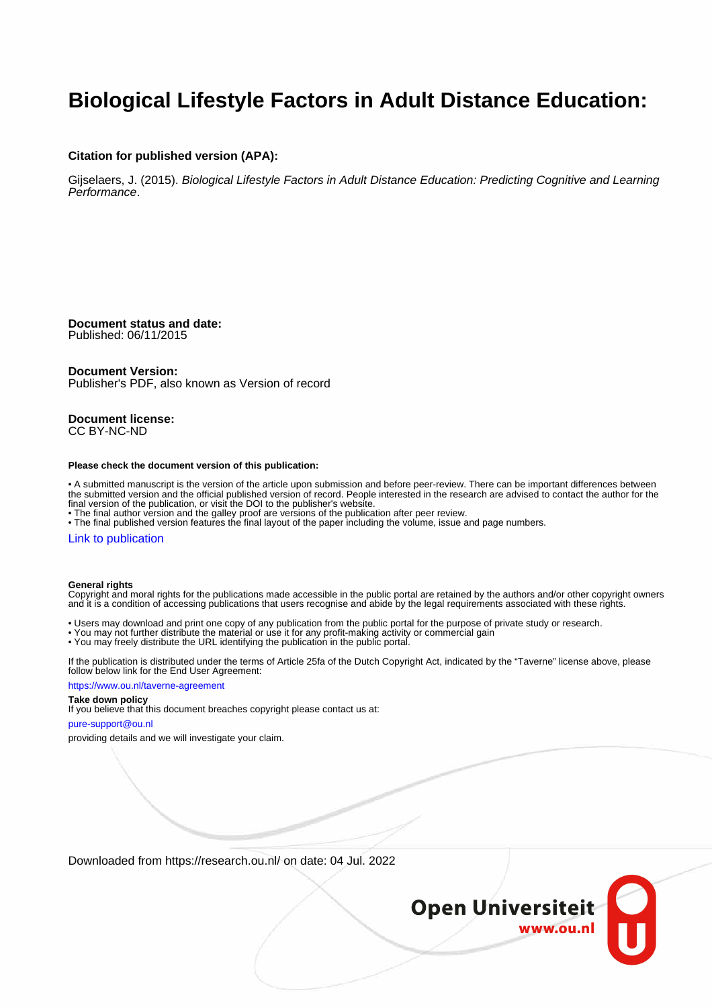# **Biological Lifestyle Factors in Adult Distance Education:**

### **Citation for published version (APA):**

Gijselaers, J. (2015). Biological Lifestyle Factors in Adult Distance Education: Predicting Cognitive and Learning Performance.

**Document status and date:** Published: 06/11/2015

## **Document Version:**

Publisher's PDF, also known as Version of record

**Document license:** CC BY-NC-ND

#### **Please check the document version of this publication:**

• A submitted manuscript is the version of the article upon submission and before peer-review. There can be important differences between the submitted version and the official published version of record. People interested in the research are advised to contact the author for the final version of the publication, or visit the DOI to the publisher's website.

• The final author version and the galley proof are versions of the publication after peer review.

• The final published version features the final layout of the paper including the volume, issue and page numbers.

### [Link to publication](https://research.ou.nl/en/publications/56fd1a35-d1de-443f-ae13-7cb2bf025ed4)

#### **General rights**

Copyright and moral rights for the publications made accessible in the public portal are retained by the authors and/or other copyright owners and it is a condition of accessing publications that users recognise and abide by the legal requirements associated with these rights.

- Users may download and print one copy of any publication from the public portal for the purpose of private study or research.
- You may not further distribute the material or use it for any profit-making activity or commercial gain
- You may freely distribute the URL identifying the publication in the public portal.

If the publication is distributed under the terms of Article 25fa of the Dutch Copyright Act, indicated by the "Taverne" license above, please follow below link for the End User Agreement:

#### https://www.ou.nl/taverne-agreement

## **Take down policy**

If you believe that this document breaches copyright please contact us at:

#### pure-support@ou.nl

providing details and we will investigate your claim.

Downloaded from https://research.ou.nl/ on date: 04 Jul. 2022